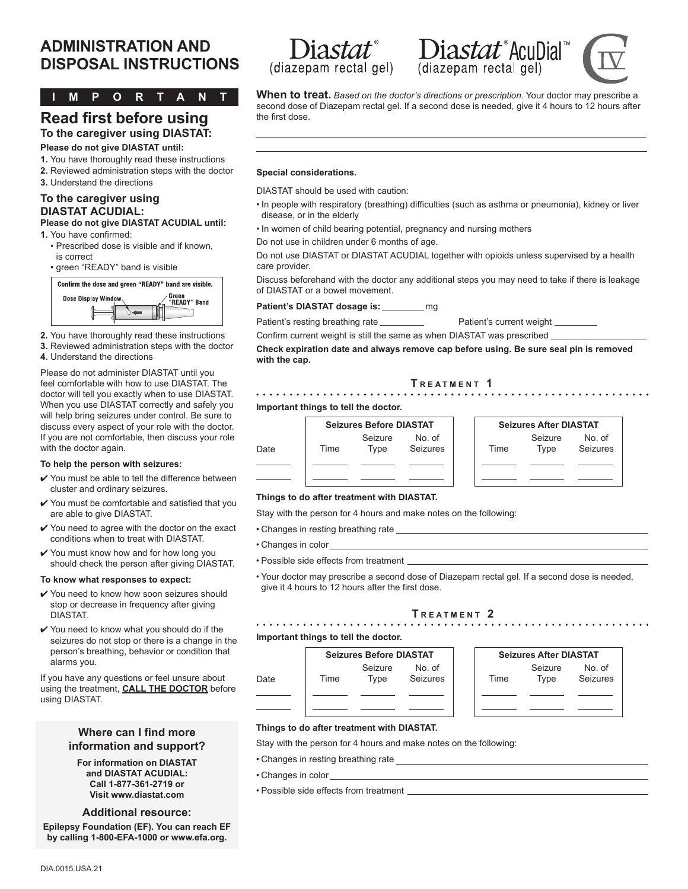## **ADMINISTRATION AND ADMINISTRATION AND Diastat<sup>®</sup> Diastat<sup>®</sup> AcuDial**<br>DISPOSAL INSTRUCTIONS (diazepam rectal gel) (diazepam rectal gel)

**IMPORTANT**

#### **Read first before using To the caregiver using DIASTAT:**

#### **Please do not give DIASTAT until:**

- **1.** You have thoroughly read these instructions
- **2.** Reviewed administration steps with the doctor
- **3.** Understand the directions

#### **To the caregiver using DIASTAT ACUDIAL:**

#### **Please do not give DIASTAT ACUDIAL until: 1.** You have confirmed:

- Prescribed dose is visible and if known, is correct
- green "READY" band is visible



- **2.** You have thoroughly read these instructions
- **3.** Reviewed administration steps with the doctor
- **4.** Understand the directions

Please do not administer DIASTAT until you feel comfortable with how to use DIASTAT. The doctor will tell you exactly when to use DIASTAT. When you use DIASTAT correctly and safely you will help bring seizures under control. Be sure to discuss every aspect of your role with the doctor. If you are not comfortable, then discuss your role with the doctor again.

#### **To help the person with seizures:**

- $\checkmark$  You must be able to tell the difference between cluster and ordinary seizures.
- $\checkmark$  You must be comfortable and satisfied that you are able to give DIASTAT.
- $\checkmark$  You need to agree with the doctor on the exact conditions when to treat with DIASTAT.
- 4 You must know how and for how long you should check the person after giving DIASTAT.

#### **To know what responses to expect:**

- ✔ You need to know how soon seizures should stop or decrease in frequency after giving DIASTAT.
- $\checkmark$  You need to know what you should do if the seizures do not stop or there is a change in the person's breathing, behavior or condition that alarms you.

If you have any questions or feel unsure about using the treatment, **CALL THE DOCTOR** before using DIASTAT.

#### **Where can I find more information and support?**

**For information on DIASTAT and DIASTAT ACUDIAL: Call 1-877-361-2719 or Visit www.diastat.com**

#### **Additional resource:**

**Epilepsy Foundation (EF). You can reach EF by calling 1-800-EFA-1000 or www.efa.org.**







**When to treat.** *Based on the doctor's directions or prescription.* Your doctor may prescribe a second dose of Diazepam rectal gel. If a second dose is needed, give it 4 hours to 12 hours after the first dose.

#### **Special considerations.**

DIASTAT should be used with caution:

- In people with respiratory (breathing) difficulties (such as asthma or pneumonia), kidney or liver disease, or in the elderly
- In women of child bearing potential, pregnancy and nursing mothers

Do not use in children under 6 months of age.

Do not use DIASTAT or DIASTAT ACUDIAL together with opioids unless supervised by a health care provider.

Discuss beforehand with the doctor any additional steps you may need to take if there is leakage of DIASTAT or a bowel movement.

Patient's DIASTAT dosage is: \_\_\_\_\_\_\_\_\_ mg

Patient's resting breathing rate Patient's current weight

Confirm current weight is still the same as when DIASTAT was prescribed

**Check expiration date and always remove cap before using. Be sure seal pin is removed with the cap.**

#### **T r e a <sup>t</sup> m e n <sup>t</sup> 1**

#### **Important things to tell the doctor.**



| <b>Seizures After DIASTAT</b> |         |          |
|-------------------------------|---------|----------|
|                               | Seizure | No. of   |
| <b>Time</b>                   | Type    | Seizures |
|                               |         |          |
|                               |         |          |
|                               |         |          |

No. of Seizures

#### **Things to do after treatment with DIASTAT.**

Stay with the person for 4 hours and make notes on the following:

- Changes in resting breathing rate
- Changes in color
- Possible side effects from treatment
- Your doctor may prescribe a second dose of Diazepam rectal gel. If a second dose is needed, give it 4 hours to 12 hours after the first dose.

#### **T r e a <sup>t</sup> m e n <sup>t</sup> 2**

#### **Important things to tell the doctor.**



#### **Things to do after treatment with DIASTAT.**

Stay with the person for 4 hours and make notes on the following:

- Changes in resting breathing rate
- Changes in color
- Possible side effects from treatment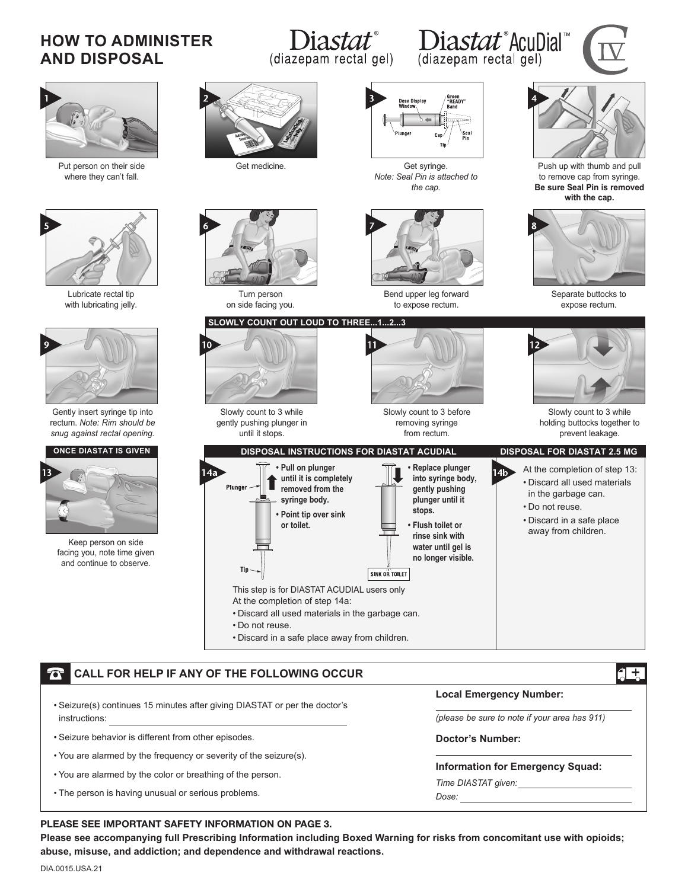## **HOW TO ADMINISTER AND DISPOSAL**

# (diazepam rectal gel)

# Diastat® Diastat®AcuDial®<br>epam rectal gel) (diazepam rectal gel)





#### **CALL FOR HELP IF ANY OF THE FOLLOWING OCCUR**

- Seizure(s) continues 15 minutes after giving DIASTAT or per the doctor's instructions:
- Seizure behavior is different from other episodes.
- You are alarmed by the frequency or severity of the seizure(s).
- You are alarmed by the color or breathing of the person.
- The person is having unusual or serious problems.

#### **Local Emergency Number:**

*(please be sure to note if your area has 911)*

#### **Doctor's Number:**

**lnformation for Emergency Squad:**

*Time DIASTAT given:* 

*Dose:* 

#### PLEASE SEE IMPORTANT SAFETY INFORMATION ON PAGE 3.

**Please see accompanying full Prescribing Information including Boxed Warning for risks from concomitant use with opioids; abuse, misuse, and addiction; and dependence and withdrawal reactions.**

 $4 +$